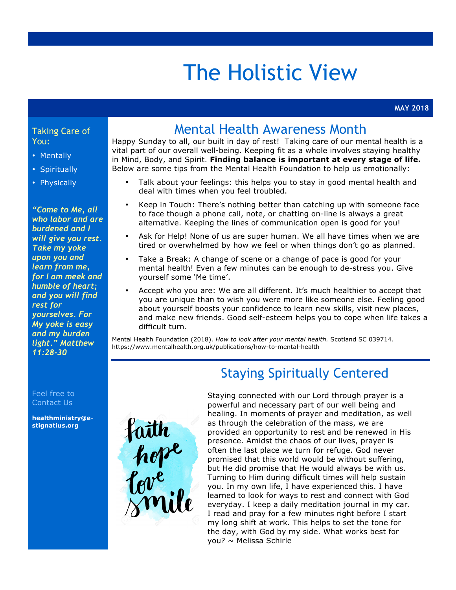## The Holistic View

#### Taking Care of You:

- Mentally
- Spiritually
- Physically

*"Come to Me, all who labor and are burdened and I will give you rest. Take my yoke upon you and learn from me, for I am meek and humble of heart; and you will find rest for yourselves. For My yoke is easy and my burden light." Matthew 11:28-30*

Feel free to Contact Us

**healthministry@estignatius.org**

### Mental Health Awareness Month

Happy Sunday to all, our built in day of rest! Taking care of our mental health is a vital part of our overall well-being. Keeping fit as a whole involves staying healthy in Mind, Body, and Spirit. **Finding balance is important at every stage of life.** Below are some tips from the Mental Health Foundation to help us emotionally:

- Talk about your feelings: this helps you to stay in good mental health and deal with times when you feel troubled.
- Keep in Touch: There's nothing better than catching up with someone face to face though a phone call, note, or chatting on-line is always a great alternative. Keeping the lines of communication open is good for you!
- Ask for Help! None of us are super human. We all have times when we are tired or overwhelmed by how we feel or when things don't go as planned.
- Take a Break: A change of scene or a change of pace is good for your mental health! Even a few minutes can be enough to de-stress you. Give yourself some 'Me time'.
- Accept who you are: We are all different. It's much healthier to accept that you are unique than to wish you were more like someone else. Feeling good about yourself boosts your confidence to learn new skills, visit new places, and make new friends. Good self-esteem helps you to cope when life takes a difficult turn.

Mental Health Foundation (2018). *How to look after your mental health.* Scotland SC 039714. https://www.mentalhealth.org.uk/publications/how-to-mental-health



## Staying Spiritually Centered

Staying connected with our Lord through prayer is a powerful and necessary part of our well being and healing. In moments of prayer and meditation, as well as through the celebration of the mass, we are provided an opportunity to rest and be renewed in His presence. Amidst the chaos of our lives, prayer is often the last place we turn for refuge. God never promised that this world would be without suffering, but He did promise that He would always be with us. Turning to Him during difficult times will help sustain you. In my own life, I have experienced this. I have learned to look for ways to rest and connect with God everyday. I keep a daily meditation journal in my car. I read and pray for a few minutes right before I start my long shift at work. This helps to set the tone for the day, with God by my side. What works best for you? ~ Melissa Schirle